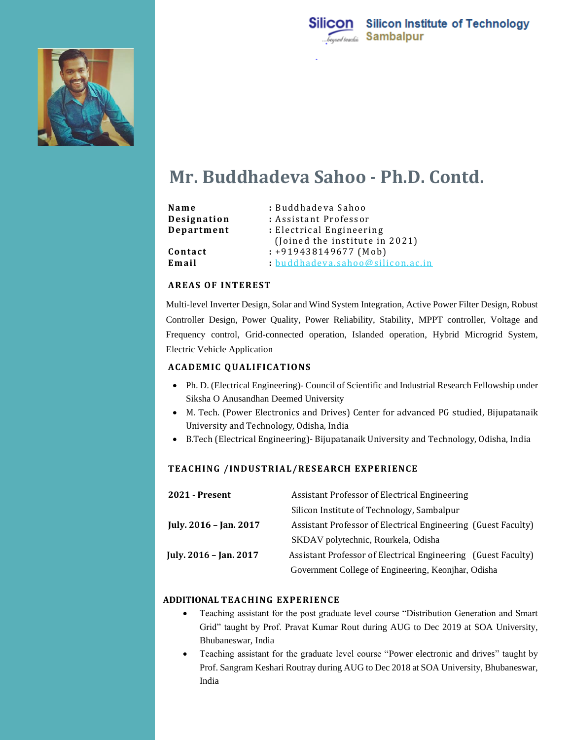



# **Mr. Buddhadeva Sahoo - Ph.D. Contd.**

| Name        | : Buddhadeva Sahoo             |
|-------------|--------------------------------|
| Designation | : Assistant Professor          |
| Department  | : Electrical Engineering       |
|             | (Joined the institute in 2021) |
| Contact     | $: +919438149677$ (Mob)        |
| Email       | buddhadeva.sahoo@silicon.ac.in |

## **AREAS OF INTEREST**

Multi-level Inverter Design, Solar and Wind System Integration, Active Power Filter Design, Robust Controller Design, Power Quality, Power Reliability, Stability, MPPT controller, Voltage and Frequency control, Grid-connected operation, Islanded operation, Hybrid Microgrid System, Electric Vehicle Application

#### **ACAD EMIC Q UALIFIC ATIO NS**

- Ph. D. (Electrical Engineering)- Council of Scientific and Industrial Research Fellowship under Siksha O Anusandhan Deemed University
- M. Tech. (Power Electronics and Drives) Center for advanced PG studied, Bijupatanaik University and Technology, Odisha, India
- B.Tech (Electrical Engineering)- Bijupatanaik University and Technology, Odisha, India

#### TEACHING / INDUSTRIAL/RESEARCH EXPERIENCE

| <b>2021 - Present</b>  | Assistant Professor of Electrical Engineering                 |
|------------------------|---------------------------------------------------------------|
|                        | Silicon Institute of Technology, Sambalpur                    |
| July. 2016 - Jan. 2017 | Assistant Professor of Electrical Engineering (Guest Faculty) |
|                        | SKDAV polytechnic, Rourkela, Odisha                           |
| July. 2016 - Jan. 2017 | Assistant Professor of Electrical Engineering (Guest Faculty) |
|                        | Government College of Engineering, Keonjhar, Odisha           |

#### **ADDITIONAL TEAC HING EXPERIENCE**

- Teaching assistant for the post graduate level course "Distribution Generation and Smart Grid" taught by Prof. Pravat Kumar Rout during AUG to Dec 2019 at SOA University, Bhubaneswar, India
- Teaching assistant for the graduate level course "Power electronic and drives" taught by Prof. Sangram Keshari Routray during AUG to Dec 2018 at SOA University, Bhubaneswar, India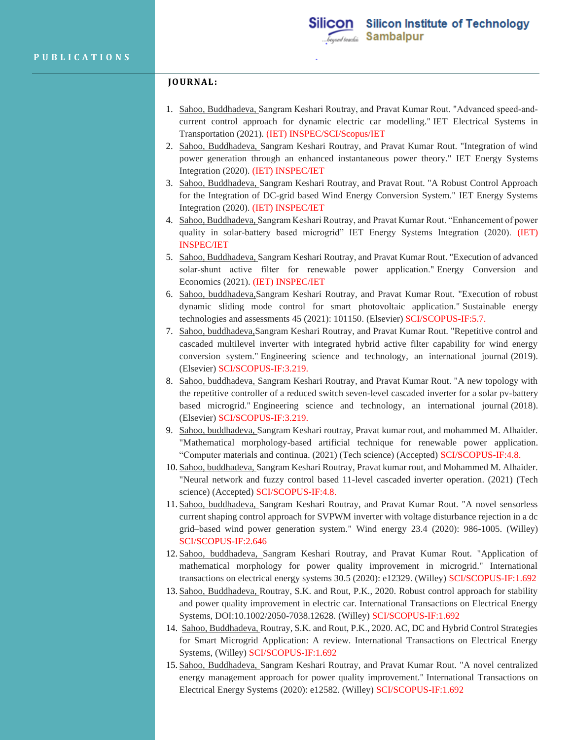## **JO URNAL:**

- 1. Sahoo, Buddhadeva, Sangram Keshari Routray, and Pravat Kumar Rout. "Advanced speed‐and‐ current control approach for dynamic electric car modelling." IET Electrical Systems in Transportation (2021). (IET) INSPEC/SCI/Scopus/IET
- 2. Sahoo, Buddhadeva, Sangram Keshari Routray, and Pravat Kumar Rout. "Integration of wind power generation through an enhanced instantaneous power theory." IET Energy Systems Integration (2020). (IET) INSPEC/IET
- 3. Sahoo, Buddhadeva, Sangram Keshari Routray, and Pravat Rout. "A Robust Control Approach for the Integration of DC-grid based Wind Energy Conversion System." IET Energy Systems Integration (2020). (IET) INSPEC/IET
- 4. Sahoo, Buddhadeva, Sangram Keshari Routray, and Pravat Kumar Rout. "Enhancement of power quality in solar-battery based microgrid" IET Energy Systems Integration (2020). (IET) INSPEC/IET
- 5. Sahoo, Buddhadeva, Sangram Keshari Routray, and Pravat Kumar Rout. "Execution of advanced solar-shunt active filter for renewable power application." Energy Conversion and Economics (2021). (IET) INSPEC/IET
- 6. Sahoo, buddhadeva,Sangram Keshari Routray, and Pravat Kumar Rout. "Execution of robust dynamic sliding mode control for smart photovoltaic application." Sustainable energy technologies and assessments 45 (2021): 101150. (Elsevier) SCI/SCOPUS-IF:5.7.
- 7. Sahoo, buddhadeva,Sangram Keshari Routray, and Pravat Kumar Rout. "Repetitive control and cascaded multilevel inverter with integrated hybrid active filter capability for wind energy conversion system." Engineering science and technology, an international journal (2019). (Elsevier) SCI/SCOPUS-IF:3.219.
- 8. Sahoo, buddhadeva, Sangram Keshari Routray, and Pravat Kumar Rout. "A new topology with the repetitive controller of a reduced switch seven-level cascaded inverter for a solar pv-battery based microgrid." Engineering science and technology, an international journal (2018). (Elsevier) SCI/SCOPUS-IF:3.219.
- 9. Sahoo, buddhadeva, Sangram Keshari routray, Pravat kumar rout, and mohammed M. Alhaider. "Mathematical morphology-based artificial technique for renewable power application. "Computer materials and continua. (2021) (Tech science) (Accepted) SCI/SCOPUS-IF:4.8.
- 10. Sahoo, buddhadeva, Sangram Keshari Routray, Pravat kumar rout, and Mohammed M. Alhaider. "Neural network and fuzzy control based 11-level cascaded inverter operation. (2021) (Tech science) (Accepted) SCI/SCOPUS-IF:4.8.
- 11. Sahoo, buddhadeva, Sangram Keshari Routray, and Pravat Kumar Rout. "A novel sensorless current shaping control approach for SVPWM inverter with voltage disturbance rejection in a dc grid–based wind power generation system." Wind energy 23.4 (2020): 986-1005. (Willey) SCI/SCOPUS-IF:2.646
- 12. Sahoo, buddhadeva, Sangram Keshari Routray, and Pravat Kumar Rout. "Application of mathematical morphology for power quality improvement in microgrid." International transactions on electrical energy systems 30.5 (2020): e12329. (Willey) SCI/SCOPUS-IF:1.692
- 13. Sahoo, Buddhadeva, Routray, S.K. and Rout, P.K., 2020. Robust control approach for stability and power quality improvement in electric car. International Transactions on Electrical Energy Systems, DOI:10.1002/2050-7038.12628. (Willey) SCI/SCOPUS-IF:1.692
- 14. Sahoo, Buddhadeva, Routray, S.K. and Rout, P.K., 2020. AC, DC and Hybrid Control Strategies for Smart Microgrid Application: A review. International Transactions on Electrical Energy Systems, (Willey) SCI/SCOPUS-IF:1.692
- 15. Sahoo, Buddhadeva, Sangram Keshari Routray, and Pravat Kumar Rout. "A novel centralized energy management approach for power quality improvement." International Transactions on Electrical Energy Systems (2020): e12582. (Willey) SCI/SCOPUS-IF:1.692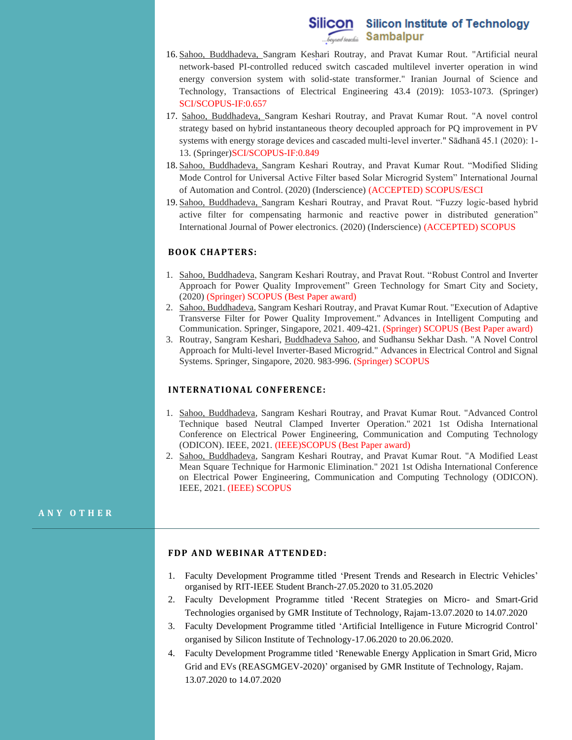# Silicon Silicon Institute of Technology **Sambalpur**

- 16. Sahoo, Buddhadeva, Sangram Keshari Routray, and Pravat Kumar Rout. "Artificial neural network-based PI-controlled reduced switch cascaded multilevel inverter operation in wind energy conversion system with solid-state transformer." Iranian Journal of Science and Technology, Transactions of Electrical Engineering 43.4 (2019): 1053-1073. (Springer) SCI/SCOPUS-IF:0.657
- 17. Sahoo, Buddhadeva, Sangram Keshari Routray, and Pravat Kumar Rout. "A novel control strategy based on hybrid instantaneous theory decoupled approach for PQ improvement in PV systems with energy storage devices and cascaded multi-level inverter." Sādhanā 45.1 (2020): 1- 13. (Springer)SCI/SCOPUS-IF:0.849
- 18. Sahoo, Buddhadeva, Sangram Keshari Routray, and Pravat Kumar Rout. "Modified Sliding Mode Control for Universal Active Filter based Solar Microgrid System" International Journal of Automation and Control. (2020) (Inderscience) (ACCEPTED) SCOPUS/ESCI
- 19. Sahoo, Buddhadeva, Sangram Keshari Routray, and Pravat Rout. "Fuzzy logic-based hybrid active filter for compensating harmonic and reactive power in distributed generation" International Journal of Power electronics. (2020) (Inderscience) (ACCEPTED) SCOPUS

#### **BOOK CHAPTERS:**

- 1. Sahoo, Buddhadeva, Sangram Keshari Routray, and Pravat Rout. "Robust Control and Inverter Approach for Power Quality Improvement" Green Technology for Smart City and Society, (2020) (Springer) SCOPUS (Best Paper award)
- 2. Sahoo, Buddhadeva, Sangram Keshari Routray, and Pravat Kumar Rout. "Execution of Adaptive Transverse Filter for Power Quality Improvement." Advances in Intelligent Computing and Communication. Springer, Singapore, 2021. 409-421. (Springer) SCOPUS (Best Paper award)
- 3. Routray, Sangram Keshari, Buddhadeva Sahoo, and Sudhansu Sekhar Dash. "A Novel Control Approach for Multi-level Inverter-Based Microgrid." Advances in Electrical Control and Signal Systems. Springer, Singapore, 2020. 983-996. (Springer) SCOPUS

#### **INTERNATIONAL CONFERENCE:**

- 1. Sahoo, Buddhadeva, Sangram Keshari Routray, and Pravat Kumar Rout. "Advanced Control Technique based Neutral Clamped Inverter Operation." 2021 1st Odisha International Conference on Electrical Power Engineering, Communication and Computing Technology (ODICON). IEEE, 2021. (IEEE)SCOPUS (Best Paper award)
- 2. Sahoo, Buddhadeva, Sangram Keshari Routray, and Pravat Kumar Rout. "A Modified Least Mean Square Technique for Harmonic Elimination." 2021 1st Odisha International Conference on Electrical Power Engineering, Communication and Computing Technology (ODICON). IEEE, 2021. (IEEE) SCOPUS

#### **A N Y O T H E R**

#### **FDP AND WEBINAR ATTENDED:**

- 1. Faculty Development Programme titled 'Present Trends and Research in Electric Vehicles' organised by RIT-IEEE Student Branch-27.05.2020 to 31.05.2020
- 2. Faculty Development Programme titled 'Recent Strategies on Micro- and Smart-Grid Technologies organised by GMR Institute of Technology, Rajam-13.07.2020 to 14.07.2020
- 3. Faculty Development Programme titled 'Artificial Intelligence in Future Microgrid Control' organised by Silicon Institute of Technology-17.06.2020 to 20.06.2020.
- 4. Faculty Development Programme titled 'Renewable Energy Application in Smart Grid, Micro Grid and EVs (REASGMGEV-2020)' organised by GMR Institute of Technology, Rajam. 13.07.2020 to 14.07.2020